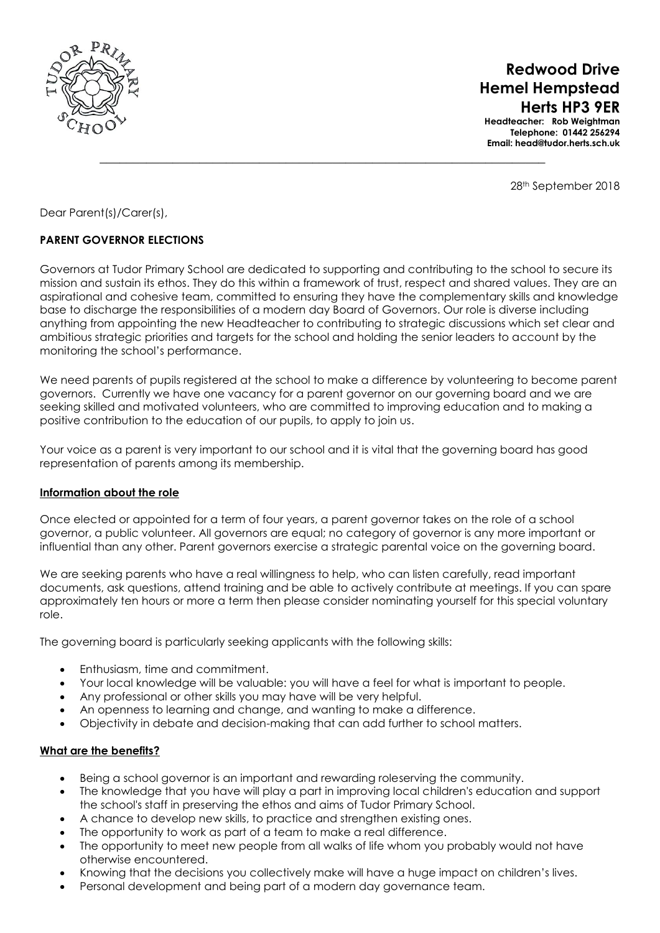

 **Redwood Drive Hemel Hempstead Herts HP3 9ER**

**Headteacher: Rob Weightman Telephone: 01442 256294 Email: head@tudor.herts.sch.uk**

28th September 2018

Dear Parent(s)/Carer(s),

# **PARENT GOVERNOR ELECTIONS**

Governors at Tudor Primary School are dedicated to supporting and contributing to the school to secure its mission and sustain its ethos. They do this within a framework of trust, respect and shared values. They are an aspirational and cohesive team, committed to ensuring they have the complementary skills and knowledge base to discharge the responsibilities of a modern day Board of Governors. Our role is diverse including anything from appointing the new Headteacher to contributing to strategic discussions which set clear and ambitious strategic priorities and targets for the school and holding the senior leaders to account by the monitoring the school's performance.

 $\_$  , and the set of the set of the set of the set of the set of the set of the set of the set of the set of the set of the set of the set of the set of the set of the set of the set of the set of the set of the set of th

We need parents of pupils registered at the school to make a difference by volunteering to become parent governors. Currently we have one vacancy for a parent governor on our governing board and we are seeking skilled and motivated volunteers, who are committed to improving education and to making a positive contribution to the education of our pupils, to apply to join us.

Your voice as a parent is very important to our school and it is vital that the governing board has good representation of parents among its membership.

#### **Information about the role**

Once elected or appointed for a term of four years, a parent governor takes on the role of a school governor, a public volunteer. All governors are equal; no category of governor is any more important or influential than any other. Parent governors exercise a strategic parental voice on the governing board.

We are seeking parents who have a real willingness to help, who can listen carefully, read important documents, ask questions, attend training and be able to actively contribute at meetings. If you can spare approximately ten hours or more a term then please consider nominating yourself for this special voluntary role.

The governing board is particularly seeking applicants with the following skills:

- Enthusiasm, time and commitment.
- Your local knowledge will be valuable: you will have a feel for what is important to people.
- Any professional or other skills you may have will be very helpful.
- An openness to learning and change, and wanting to make a difference.
- Objectivity in debate and decision-making that can add further to school matters.

#### **What are the benefits?**

- Being a school governor is an important and rewarding roleserving the community.
- The knowledge that you have will play a part in improving local children's education and support the school's staff in preserving the ethos and aims of Tudor Primary School.
- A chance to develop new skills, to practice and strengthen existing ones.
- The opportunity to work as part of a team to make a real difference.
- The opportunity to meet new people from all walks of life whom you probably would not have otherwise encountered.
- Knowing that the decisions you collectively make will have a huge impact on children's lives.
- Personal development and being part of a modern day governance team.